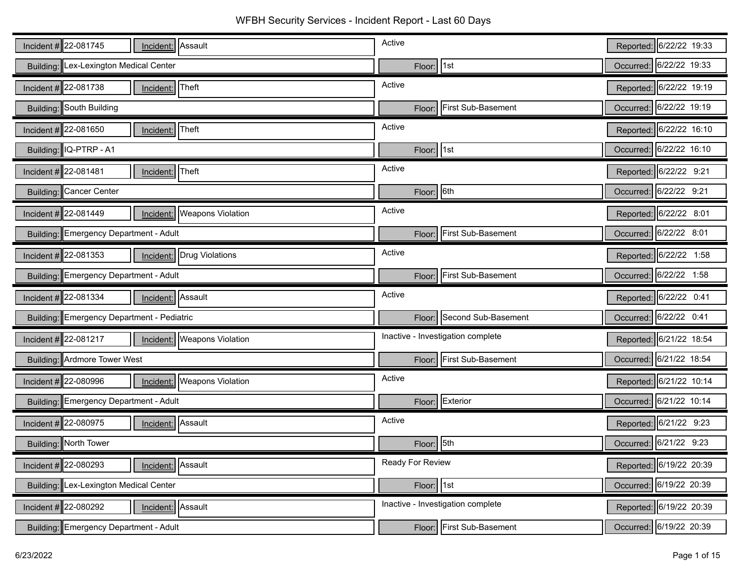| Incident $\#$ 22-081745<br>Incident: Assault                     | Active                            | Reported: 6/22/22 19:33 |
|------------------------------------------------------------------|-----------------------------------|-------------------------|
| Building: Lex-Lexington Medical Center                           | Floor: 1st                        | Occurred: 6/22/22 19:33 |
| Incident # 22-081738<br>Incident: Theft                          | Active                            | Reported: 6/22/22 19:19 |
| Building: South Building                                         | First Sub-Basement<br>Floor:      | Occurred: 6/22/22 19:19 |
| Incident $\#$ 22-081650<br>Theft<br>Incident:                    | Active                            | Reported: 6/22/22 16:10 |
| Building: IQ-PTRP - A1                                           | Floor: 1st                        | Occurred: 6/22/22 16:10 |
| Incident #22-081481<br>Theft<br>Incident:                        | Active                            | Reported: 6/22/22 9:21  |
| Building: Cancer Center                                          | Floor: 6th                        | Occurred: 6/22/22 9:21  |
| Incident $\#$ 22-081449<br><b>Weapons Violation</b><br>Incident: | Active                            | Reported: 6/22/22 8:01  |
| Building: Emergency Department - Adult                           | Floor: First Sub-Basement         | Occurred: 6/22/22 8:01  |
| Incident #22-081353<br>Incident: Drug Violations                 | Active                            | Reported: 6/22/22 1:58  |
| Building: Emergency Department - Adult                           | Floor: First Sub-Basement         | Occurred: 6/22/22 1:58  |
|                                                                  |                                   |                         |
| Incident $\#$ 22-081334<br>Incident: Assault                     | Active                            | Reported: 6/22/22 0:41  |
| Building: Emergency Department - Pediatric                       | Second Sub-Basement<br>Floor:     | Occurred: 6/22/22 0:41  |
| Incident # 22-081217<br>Incident:   Weapons Violation            | Inactive - Investigation complete | Reported: 6/21/22 18:54 |
| Building: Ardmore Tower West                                     | Floor: First Sub-Basement         | Occurred: 6/21/22 18:54 |
| Incident $\#$ 22-080996<br>Weapons Violation<br>Incident:        | Active                            | Reported: 6/21/22 10:14 |
| Building: Emergency Department - Adult                           | Floor: Exterior                   | Occurred: 6/21/22 10:14 |
| Incident # 22-080975<br>Incident: Assault                        | Active                            | Reported: 6/21/22 9:23  |
| Building: North Tower                                            | 5th<br>Floor:                     | Occurred: 6/21/22 9:23  |
| Incident # $22 - 080293$<br>Assault<br>Incident:                 | Ready For Review                  | Reported: 6/19/22 20:39 |
| Building: Lex-Lexington Medical Center                           | Floor: 1st                        | Occurred: 6/19/22 20:39 |
| Incident $\#$ 22-080292<br>Incident: Assault                     | Inactive - Investigation complete | Reported: 6/19/22 20:39 |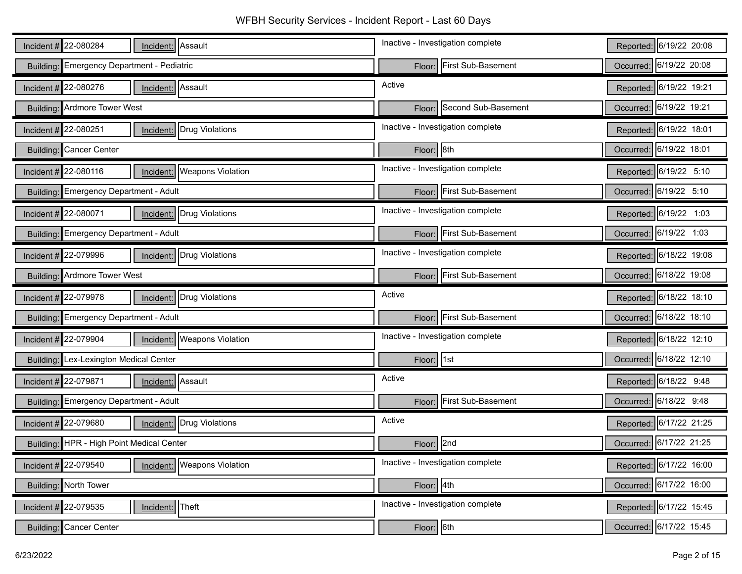WFBH Security Services - Incident Report - Last 60 Days

| Incident # 22-080284<br>Incident: Assault                        | Inactive - Investigation complete | Reported: 6/19/22 20:08 |
|------------------------------------------------------------------|-----------------------------------|-------------------------|
| Building: Emergency Department - Pediatric                       | Floor: First Sub-Basement         | Occurred: 6/19/22 20:08 |
| Incident # $22-080276$<br>Incident: Assault                      | Active                            | Reported: 6/19/22 19:21 |
| Building: Ardmore Tower West                                     | Floor: Second Sub-Basement        | Occurred: 6/19/22 19:21 |
| Incident $\#$ 22-080251<br><b>Incident:</b> Drug Violations      | Inactive - Investigation complete | Reported: 6/19/22 18:01 |
| Building: Cancer Center                                          | Floor: 8th                        | Occurred: 6/19/22 18:01 |
| Incident # $22-080116$<br><b>Weapons Violation</b><br>Incident:  | Inactive - Investigation complete | Reported: 6/19/22 5:10  |
| Building: Emergency Department - Adult                           | Floor: First Sub-Basement         | Occurred: 6/19/22 5:10  |
| Incident $\#$ 22-080071<br>Drug Violations<br>Incident:          | Inactive - Investigation complete | Reported: 6/19/22 1:03  |
| Building: Emergency Department - Adult                           | Floor: First Sub-Basement         | Occurred: 6/19/22 1:03  |
| Incident # 22-079996<br>Incident: Drug Violations                | Inactive - Investigation complete | Reported: 6/18/22 19:08 |
| Building: Ardmore Tower West                                     | Floor: First Sub-Basement         | Occurred: 6/18/22 19:08 |
|                                                                  |                                   |                         |
| Incident # 22-079978<br>Drug Violations<br>Incident:             | Active                            | Reported: 6/18/22 18:10 |
| Building: Emergency Department - Adult                           | First Sub-Basement<br>Floor:      | Occurred: 6/18/22 18:10 |
| Incident #22-079904<br><b>Weapons Violation</b><br>Incident:     | Inactive - Investigation complete | Reported: 6/18/22 12:10 |
| Building: Lex-Lexington Medical Center                           | Floor: 1st                        | Occurred: 6/18/22 12:10 |
| Incident # 22-079871<br>Assault<br>Incident:                     | Active                            | Reported: 6/18/22 9:48  |
| Building: Emergency Department - Adult                           | Floor: First Sub-Basement         | Occurred: 6/18/22 9:48  |
| Incident $\#$ 22-079680<br>Incident: Drug Violations             | Active                            | Reported: 6/17/22 21:25 |
| Building: HPR - High Point Medical Center                        | Floor: 2nd                        | Occurred: 6/17/22 21:25 |
| Incident $\#$ 22-079540<br><b>Weapons Violation</b><br>Incident: | Inactive - Investigation complete | Reported: 6/17/22 16:00 |
| Building: North Tower                                            | Floor: 4th                        | Occurred: 6/17/22 16:00 |
| Incident # 22-079535<br>Theft<br>Incident:                       | Inactive - Investigation complete | Reported: 6/17/22 15:45 |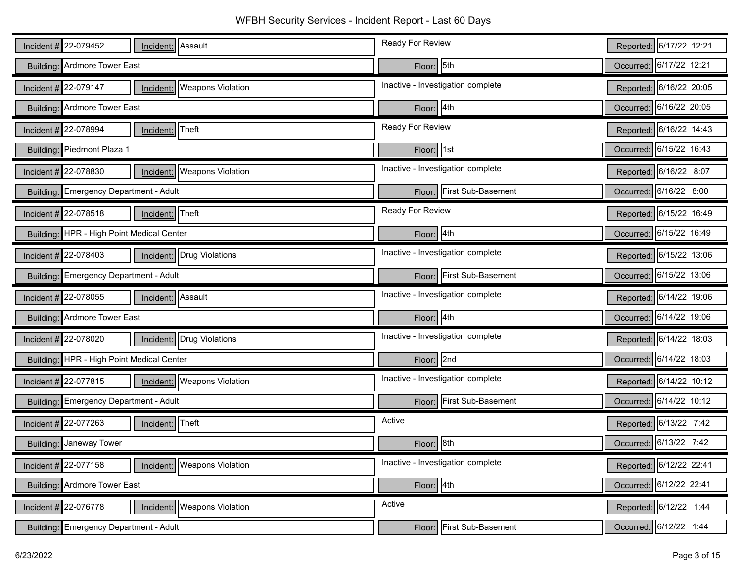| Incident # 22-079452<br>Incident: Assault                     | Ready For Review                    | Reported: 6/17/22 12:21 |
|---------------------------------------------------------------|-------------------------------------|-------------------------|
| Building: Ardmore Tower East                                  | 5th<br>Floor:                       | Occurred: 6/17/22 12:21 |
| Incident # 22-079147<br><b>Weapons Violation</b><br>Incident: | Inactive - Investigation complete   | Reported: 6/16/22 20:05 |
| Building: Ardmore Tower East                                  | Floor: 4th                          | Occurred: 6/16/22 20:05 |
| Incident # 22-078994<br>Incident: Theft                       | Ready For Review                    | Reported: 6/16/22 14:43 |
| Building: Piedmont Plaza 1                                    | 1st <br>Floor:                      | Occurred: 6/15/22 16:43 |
| Incident # 22-078830<br><b>Weapons Violation</b><br>Incident: | Inactive - Investigation complete   | Reported: 6/16/22 8:07  |
| Building: Emergency Department - Adult                        | <b>First Sub-Basement</b><br>Floor: | Occurred: 6/16/22 8:00  |
| Incident #22-078518<br>Incident: Theft                        | Ready For Review                    | Reported: 6/15/22 16:49 |
| Building: HPR - High Point Medical Center                     | 4th<br>Floor:                       | Occurred: 6/15/22 16:49 |
| Incident # 22-078403<br><b>Incident:</b> Drug Violations      | Inactive - Investigation complete   | Reported: 6/15/22 13:06 |
| Building: Emergency Department - Adult                        | <b>First Sub-Basement</b><br>Floor: | Occurred: 6/15/22 13:06 |
|                                                               |                                     |                         |
| Incident # 22-078055<br>Incident: Assault                     | Inactive - Investigation complete   | Reported: 6/14/22 19:06 |
| Building: Ardmore Tower East                                  | Floor: 4th                          | Occurred: 6/14/22 19:06 |
| Incident # 22-078020<br><b>Incident:</b> Drug Violations      | Inactive - Investigation complete   | Reported: 6/14/22 18:03 |
| Building: HPR - High Point Medical Center                     | 2nd<br>Floor:                       | Occurred: 6/14/22 18:03 |
| Incident # 22-077815<br><b>Weapons Violation</b><br>Incident: | Inactive - Investigation complete   | Reported: 6/14/22 10:12 |
| Building: Emergency Department - Adult                        | Floor: First Sub-Basement           | Occurred: 6/14/22 10:12 |
| Incident #22-077263<br>Incident: Theft                        | Active                              | Reported: 6/13/22 7:42  |
| <b>Building: Janeway Tower</b>                                | 8th<br>Floor:                       | Occurred: 6/13/22 7:42  |
| Incident # 22-077158<br>Incident:   Weapons Violation         | Inactive - Investigation complete   | Reported: 6/12/22 22:41 |
| Building: Ardmore Tower East                                  | Flow: 4th                           | Occurred: 6/12/22 22:41 |
| Incident # 22-076778<br><b>Weapons Violation</b><br>Incident: | Active                              | Reported: 6/12/22 1:44  |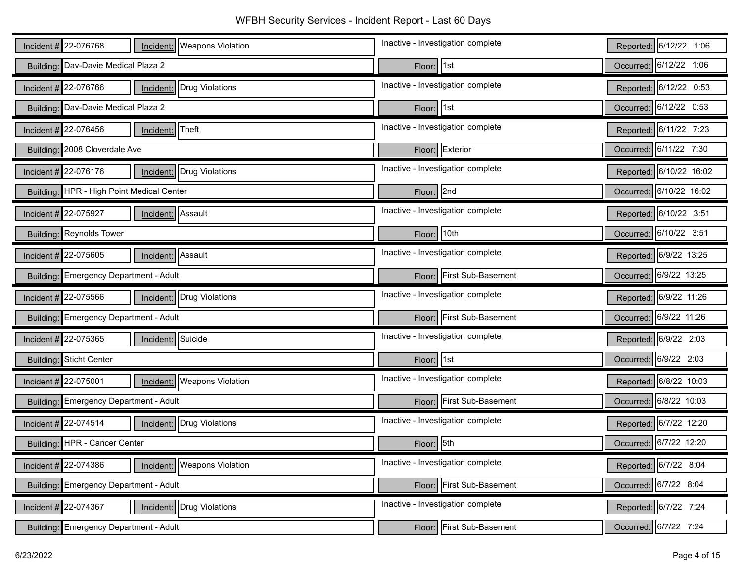| Incident $\#$ 22-076768<br>Incident:   Weapons Violation        | Inactive - Investigation complete | Reported: 6/12/22 1:06  |
|-----------------------------------------------------------------|-----------------------------------|-------------------------|
| Building: Dav-Davie Medical Plaza 2                             | Floor: 1st                        | Occurred: 6/12/22 1:06  |
| Incident # $22-076766$<br>Drug Violations<br>Incident:          | Inactive - Investigation complete | Reported: 6/12/22 0:53  |
| Building: Dav-Davie Medical Plaza 2                             | Floor: 1st                        | Occurred: 6/12/22 0:53  |
| Incident #22-076456<br>Theft<br>Incident:                       | Inactive - Investigation complete | Reported: 6/11/22 7:23  |
| Building: 2008 Cloverdale Ave                                   | Floor: Exterior                   | Occurred: 6/11/22 7:30  |
| Incident #22-076176<br>Drug Violations<br>Incident:             | Inactive - Investigation complete | Reported: 6/10/22 16:02 |
| Building: HPR - High Point Medical Center                       | Floor: 2nd                        | Occurred: 6/10/22 16:02 |
| Incident #22-075927<br>Incident: Assault                        | Inactive - Investigation complete | Reported: 6/10/22 3:51  |
| Building: Reynolds Tower                                        | Floor: 10th                       | Occurred: 6/10/22 3:51  |
| Incident # 22-075605<br>Assault<br>Incident:                    | Inactive - Investigation complete | Reported: 6/9/22 13:25  |
| Building: Emergency Department - Adult                          | Floor: First Sub-Basement         | Occurred: 6/9/22 13:25  |
|                                                                 |                                   |                         |
| Incident # 22-075566<br><b>Incident:</b> Drug Violations        | Inactive - Investigation complete | Reported: 6/9/22 11:26  |
| Building: Emergency Department - Adult                          | Floor: First Sub-Basement         | Occurred: 6/9/22 11:26  |
| Incident $\#$ 22-075365<br>Suicide<br>Incident:                 | Inactive - Investigation complete | Reported: 6/9/22 2:03   |
| Building: Sticht Center                                         | Floor: 1st                        | Occurred: 6/9/22 2:03   |
| Incident # 22-075001<br><b>Weapons Violation</b><br>Incident:   | Inactive - Investigation complete | Reported: 6/8/22 10:03  |
| Building: Emergency Department - Adult                          | Floor: First Sub-Basement         | Occurred: 6/8/22 10:03  |
| Incident #22-074514<br>Incident: Drug Violations                | Inactive - Investigation complete | Reported: 6/7/22 12:20  |
| Building: HPR - Cancer Center                                   | Floor: 5th                        | Occurred: 6/7/22 12:20  |
| Incident # $22-074386$<br><b>Weapons Violation</b><br>Incident: | Inactive - Investigation complete | Reported: 6/7/22 8:04   |
| Building: Emergency Department - Adult                          | Floor: First Sub-Basement         | Occurred: 6/7/22 8:04   |
| Incident # 22-074367<br>Drug Violations<br>Incident:            | Inactive - Investigation complete | Reported: 6/7/22 7:24   |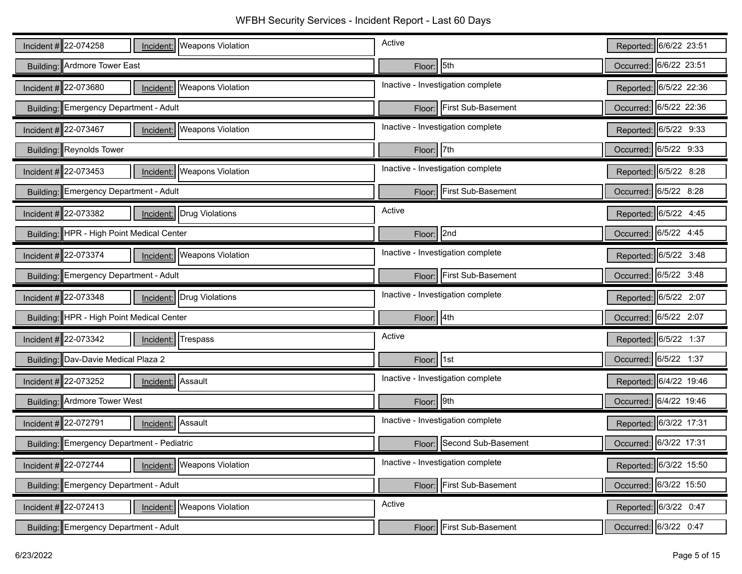| Incident # 22-074258<br>Incident:   Weapons Violation             | Active                            | Reported: 6/6/22 23:51 |
|-------------------------------------------------------------------|-----------------------------------|------------------------|
| Building: Ardmore Tower East                                      | Floor: 5th                        | Occurred: 6/6/22 23:51 |
| Incident $\#$ 22-073680<br>Incident:   Weapons Violation          | Inactive - Investigation complete | Reported: 6/5/22 22:36 |
| Building: Emergency Department - Adult                            | Floor: First Sub-Basement         | Occurred: 6/5/22 22:36 |
| Incident # 22-073467<br>Incident:   Weapons Violation             | Inactive - Investigation complete | Reported: 6/5/22 9:33  |
| Building: Reynolds Tower                                          | Floor: 7th                        | Occurred: 6/5/22 9:33  |
| Incident #22-073453<br><b>Weapons Violation</b><br>Incident:      | Inactive - Investigation complete | Reported: 6/5/22 8:28  |
| Building: Emergency Department - Adult                            | Floor: First Sub-Basement         | Occurred: 6/5/22 8:28  |
| Incident $\#$ 22-073382<br>Drug Violations<br>Incident:           | Active                            | Reported: 6/5/22 4:45  |
| Building: HPR - High Point Medical Center                         | Floor: 2nd                        | Occurred: 6/5/22 4:45  |
| Incident $\#$ 22-073374<br><b>Weapons Violation</b><br>Incident:  | Inactive - Investigation complete | Reported: 6/5/22 3:48  |
| Building: Emergency Department - Adult                            | Floor: First Sub-Basement         | Occurred: 6/5/22 3:48  |
| Incident # 22-073348<br>Incident: Drug Violations                 | Inactive - Investigation complete | Reported: 6/5/22 2:07  |
| Building: HPR - High Point Medical Center                         | Floor: 4th                        | Occurred: 6/5/22 2:07  |
| Incident #22-073342<br><b>Trespass</b><br>Incident:               | Active                            | Reported: 6/5/22 1:37  |
| Building: Dav-Davie Medical Plaza 2                               | Floor: 1st                        | Occurred: 6/5/22 1:37  |
| Incident $\#$ 22-073252<br>Assault<br>Incident:                   | Inactive - Investigation complete | Reported: 6/4/22 19:46 |
| Building: Ardmore Tower West                                      |                                   |                        |
|                                                                   | Floor: 9th                        | Occurred: 6/4/22 19:46 |
| Incident #22-072791<br>Incident: Assault                          | Inactive - Investigation complete | Reported: 6/3/22 17:31 |
| Building: Emergency Department - Pediatric                        | Floor: Second Sub-Basement        | Occurred: 6/3/22 17:31 |
| Incident # $22 - 072744$<br><b>Weapons Violation</b><br>Incident: | Inactive - Investigation complete | Reported: 6/3/22 15:50 |
| Building: Emergency Department - Adult                            | Floor: First Sub-Basement         | Occurred: 6/3/22 15:50 |
| Incident # 22-072413<br>Weapons Violation<br>Incident:            | Active                            | Reported: 6/3/22 0:47  |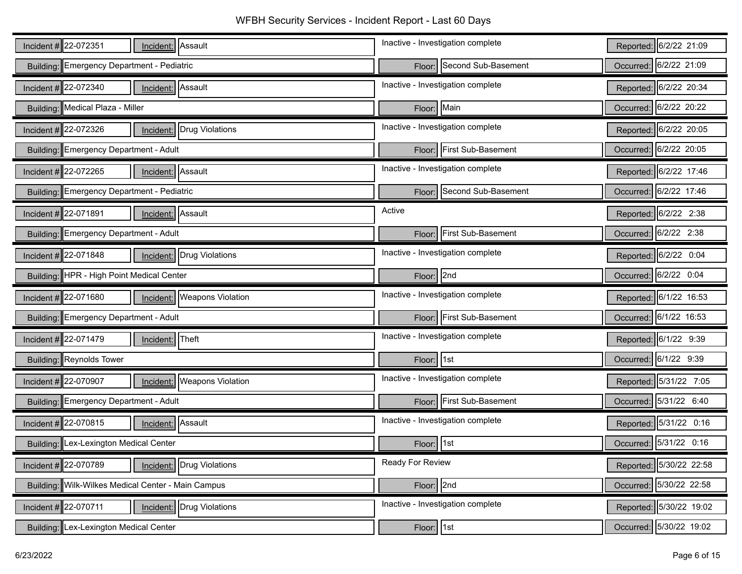WFBH Security Services - Incident Report - Last 60 Days

| Incident #22-072351<br>Incident: Assault                         | Inactive - Investigation complete | Reported: 6/2/22 21:09  |
|------------------------------------------------------------------|-----------------------------------|-------------------------|
| Building: Emergency Department - Pediatric                       | Floor: Second Sub-Basement        | Occurred: 6/2/22 21:09  |
| Incident $\#$ 22-072340<br>Assault<br>Incident:                  | Inactive - Investigation complete | Reported: 6/2/22 20:34  |
| Building: Medical Plaza - Miller                                 | Floor: Main                       | Occurred: 6/2/22 20:22  |
| Incident #22-072326<br>Incident: Drug Violations                 | Inactive - Investigation complete | Reported: 6/2/22 20:05  |
| Building: Emergency Department - Adult                           | First Sub-Basement<br>Floor:      | Occurred: 6/2/22 20:05  |
| Incident # 22-072265<br>Assault<br>Incident:                     | Inactive - Investigation complete | Reported: 6/2/22 17:46  |
| Building: Emergency Department - Pediatric                       | Floor: Second Sub-Basement        | Occurred: 6/2/22 17:46  |
| Incident # 22-071891<br>Incident: Assault                        | Active                            | Reported: 6/2/22 2:38   |
| Building: Emergency Department - Adult                           | Floor: First Sub-Basement         | Occurred: 6/2/22 2:38   |
| Incident #22-071848<br>Incident: Drug Violations                 | Inactive - Investigation complete | Reported: 6/2/22 0:04   |
| Building: HPR - High Point Medical Center                        | Floor: 2nd                        | Occurred: 6/2/22 0:04   |
|                                                                  |                                   |                         |
| Incident $\#$ 22-071680<br><b>Weapons Violation</b><br>Incident: | Inactive - Investigation complete | Reported: 6/1/22 16:53  |
| Building: Emergency Department - Adult                           | Floor: First Sub-Basement         | Occurred: 6/1/22 16:53  |
| Incident # 22-071479<br>Theft<br>Incident:                       | Inactive - Investigation complete | Reported: 6/1/22 9:39   |
| Building: Reynolds Tower                                         | Floor: 1st                        | Occurred: 6/1/22 9:39   |
| Incident $\#$ 22-070907<br><b>Weapons Violation</b><br>Incident: | Inactive - Investigation complete | Reported: 5/31/22 7:05  |
| Building: Emergency Department - Adult                           | Floor: First Sub-Basement         | Occurred: 5/31/22 6:40  |
| Incident # $22-070815$<br>Incident: Assault                      | Inactive - Investigation complete | Reported: 5/31/22 0:16  |
| Building: Lex-Lexington Medical Center                           | Floor: 1st                        | Occurred: 5/31/22 0:16  |
| Incident $\#$ 22-070789<br>Incident: Drug Violations             | Ready For Review                  | Reported: 5/30/22 22:58 |
| Building: Wilk-Wilkes Medical Center - Main Campus               | Floor: 2nd                        | Occurred: 5/30/22 22:58 |
| Incident $\#$ 22-070711<br>Drug Violations<br>Incident:          | Inactive - Investigation complete | Reported: 5/30/22 19:02 |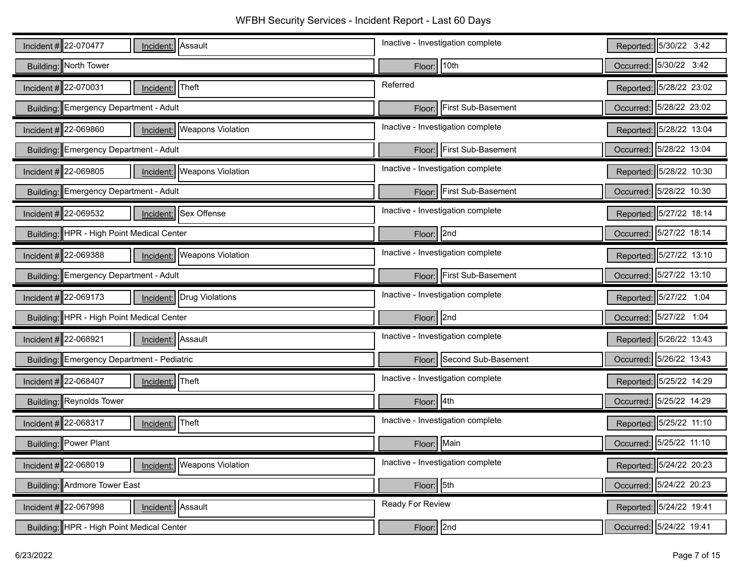| Incident # 22-070477<br>Incident: Assault                     | Inactive - Investigation complete | Reported: 5/30/22 3:42  |
|---------------------------------------------------------------|-----------------------------------|-------------------------|
| Building: North Tower                                         | Floor: 10th                       | Occurred: 5/30/22 3:42  |
| Theft<br>Incident # 22-070031<br>Incident:                    | Referred                          | Reported: 5/28/22 23:02 |
| Building: Emergency Department - Adult                        | Floor: First Sub-Basement         | Occurred: 5/28/22 23:02 |
| Incident # 22-069860<br>Incident:   Weapons Violation         | Inactive - Investigation complete | Reported: 5/28/22 13:04 |
| Building: Emergency Department - Adult                        | Floor: First Sub-Basement         | Occurred: 5/28/22 13:04 |
| Incident # 22-069805<br><b>Weapons Violation</b><br>Incident: | Inactive - Investigation complete | Reported: 5/28/22 10:30 |
| Building: Emergency Department - Adult                        | Floor: First Sub-Basement         | Occurred: 5/28/22 10:30 |
| Incident # 22-069532<br>Incident: Sex Offense                 | Inactive - Investigation complete | Reported: 5/27/22 18:14 |
| Building: HPR - High Point Medical Center                     | Floor: 2nd                        | Occurred: 5/27/22 18:14 |
| Incident # 22-069388<br>Incident:   Weapons Violation         | Inactive - Investigation complete | Reported: 5/27/22 13:10 |
| Building: Emergency Department - Adult                        | Floor: First Sub-Basement         | Occurred: 5/27/22 13:10 |
| Incident $\#$ 22-069173<br><b>Incident:</b> Drug Violations   | Inactive - Investigation complete | Reported: 5/27/22 1:04  |
| Building: HPR - High Point Medical Center                     | Floor: 2nd                        | Occurred: 5/27/22 1:04  |
| Incident #22-068921<br>Incident: Assault                      | Inactive - Investigation complete | Reported: 5/26/22 13:43 |
| Building: Emergency Department - Pediatric                    | Floor: Second Sub-Basement        | Occurred: 5/26/22 13:43 |
| Incident # 22-068407<br>Theft<br>Incident:                    | Inactive - Investigation complete | Reported: 5/25/22 14:29 |
| Building: Reynolds Tower                                      | Floor: 4th                        | Occurred: 5/25/22 14:29 |
| Incident # 22-068317<br>Theft<br>Incident:                    | Inactive - Investigation complete | Reported: 5/25/22 11:10 |
| Building: Power Plant                                         | Floor: Main                       | Occurred: 5/25/22 11:10 |
| Incident # 22-068019<br>Incident:   Weapons Violation         | Inactive - Investigation complete | Reported: 5/24/22 20:23 |
| Building: Ardmore Tower East                                  | Floor: 5th                        | Occurred: 5/24/22 20:23 |
| Incident $\#$ 22-067998<br>Incident: Assault                  | Ready For Review                  | Reported: 5/24/22 19:41 |
| Building: HPR - High Point Medical Center                     | Floor: 2nd                        | Occurred: 5/24/22 19:41 |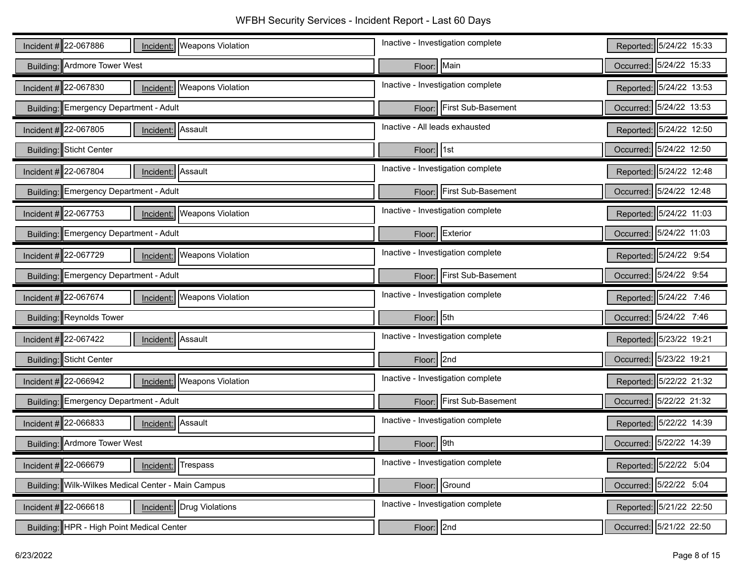| Incident # 22-067886<br><b>Weapons Violation</b><br>Incident:     | Inactive - Investigation complete | Reported: 5/24/22 15:33 |
|-------------------------------------------------------------------|-----------------------------------|-------------------------|
| <b>Building: Ardmore Tower West</b>                               | Floor: Main                       | Occurred: 5/24/22 15:33 |
| Incident #22-067830<br><b>Weapons Violation</b><br>Incident:      | Inactive - Investigation complete | Reported: 5/24/22 13:53 |
| Building: Emergency Department - Adult                            | Floor: First Sub-Basement         | Occurred: 5/24/22 13:53 |
| Incident #22-067805<br>Incident: Assault                          | Inactive - All leads exhausted    | Reported: 5/24/22 12:50 |
| Building: Sticht Center                                           | Floor: 1st                        | Occurred: 5/24/22 12:50 |
| Incident # $22-067804$<br>Assault<br>Incident:                    | Inactive - Investigation complete | Reported: 5/24/22 12:48 |
| Building: Emergency Department - Adult                            | Floor: First Sub-Basement         | Occurred: 5/24/22 12:48 |
| Incident # 22-067753<br><b>Weapons Violation</b><br>Incident:     | Inactive - Investigation complete | Reported: 5/24/22 11:03 |
| Building: Emergency Department - Adult                            | Floor: Exterior                   | Occurred: 5/24/22 11:03 |
| Incident #22-067729<br><b>Weapons Violation</b><br>Incident:      | Inactive - Investigation complete | Reported: 5/24/22 9:54  |
| Building: Emergency Department - Adult                            | Floor: First Sub-Basement         | Occurred: 5/24/22 9:54  |
| Incident # $22 - 067674$<br><b>Weapons Violation</b><br>Incident: | Inactive - Investigation complete | Reported: 5/24/22 7:46  |
| Building: Reynolds Tower                                          | Floor: 5th                        | Occurred: 5/24/22 7:46  |
| Incident # 22-067422<br>Assault<br>Incident:                      | Inactive - Investigation complete | Reported: 5/23/22 19:21 |
| Building: Sticht Center                                           | Floor: 2nd                        | Occurred: 5/23/22 19:21 |
| Incident $\#$ 22-066942<br><b>Weapons Violation</b><br>Incident:  | Inactive - Investigation complete | Reported: 5/22/22 21:32 |
| Building: Emergency Department - Adult                            | Floor: First Sub-Basement         | Occurred: 5/22/22 21:32 |
| Incident $\#$ 22-066833<br>Assault<br>Incident:                   | Inactive - Investigation complete | Reported: 5/22/22 14:39 |
| Building: Ardmore Tower West                                      | 9th<br>Floor:                     | Occurred: 5/22/22 14:39 |
| Incident $\#$ 22-066679<br>Trespass<br>Incident:                  | Inactive - Investigation complete | Reported: 5/22/22 5:04  |
| Building: Wilk-Wilkes Medical Center - Main Campus                | Floor: Ground                     | Occurred: 5/22/22 5:04  |
| Incident #22-066618<br><b>Incident:</b> Drug Violations           | Inactive - Investigation complete | Reported: 5/21/22 22:50 |
| Building: HPR - High Point Medical Center                         | Floor: 2nd                        | Occurred: 5/21/22 22:50 |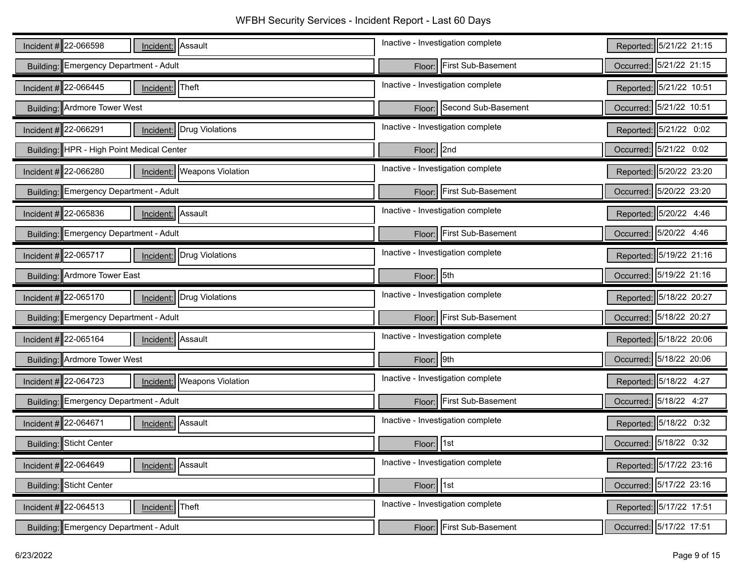| Incident # 22-066598<br>Incident: Assault                     | Inactive - Investigation complete   | Reported: 5/21/22 21:15 |
|---------------------------------------------------------------|-------------------------------------|-------------------------|
| Building: Emergency Department - Adult                        | First Sub-Basement<br>Floor:        | Occurred: 5/21/22 21:15 |
| Incident # 22-066445<br>Theft<br>Incident:                    | Inactive - Investigation complete   | Reported: 5/21/22 10:51 |
| Building: Ardmore Tower West                                  | Second Sub-Basement<br>Floor:       | Occurred: 5/21/22 10:51 |
| Incident # 22-066291<br>Incident: Drug Violations             | Inactive - Investigation complete   | Reported: 5/21/22 0:02  |
| Building: HPR - High Point Medical Center                     | Floor: 2nd                          | Occurred: 5/21/22 0:02  |
| Incident # 22-066280<br><b>Weapons Violation</b><br>Incident: | Inactive - Investigation complete   | Reported: 5/20/22 23:20 |
| Building: Emergency Department - Adult                        | First Sub-Basement<br>Floor:        | Occurred: 5/20/22 23:20 |
| Incident # 22-065836<br>Assault<br>Incident:                  | Inactive - Investigation complete   | Reported: 5/20/22 4:46  |
| Building: Emergency Department - Adult                        | First Sub-Basement<br>Floor:        | Occurred: 5/20/22 4:46  |
| Incident # 22-065717<br>Incident: Drug Violations             | Inactive - Investigation complete   | Reported: 5/19/22 21:16 |
| Building: Ardmore Tower East                                  | 5th<br>Floor:                       | Occurred: 5/19/22 21:16 |
|                                                               |                                     |                         |
| Incident # 22-065170<br>Incident: Drug Violations             | Inactive - Investigation complete   | Reported: 5/18/22 20:27 |
| Building: Emergency Department - Adult                        | <b>First Sub-Basement</b><br>Floor: | Occurred: 5/18/22 20:27 |
| Incident # 22-065164<br>Incident: Assault                     | Inactive - Investigation complete   | Reported: 5/18/22 20:06 |
| Building: Ardmore Tower West                                  | 9th<br>Floor:                       | Occurred: 5/18/22 20:06 |
| Incident # 22-064723<br><b>Weapons Violation</b><br>Incident: | Inactive - Investigation complete   | Reported: 5/18/22 4:27  |
| Building: Emergency Department - Adult                        | Floor: First Sub-Basement           | Occurred: 5/18/22 4:27  |
| Incident # 22-064671<br>Incident: Assault                     | Inactive - Investigation complete   | Reported: 5/18/22 0:32  |
| Building: Sticht Center                                       | 1st<br>Floor:                       | Occurred: 5/18/22 0:32  |
| Assault<br>Incident # 22-064649<br>Incident:                  | Inactive - Investigation complete   | Reported: 5/17/22 23:16 |
| Building: Sticht Center                                       | Floor: 1st                          | Occurred: 5/17/22 23:16 |
| Incident # 22-064513<br>Theft<br>Incident:                    | Inactive - Investigation complete   | Reported: 5/17/22 17:51 |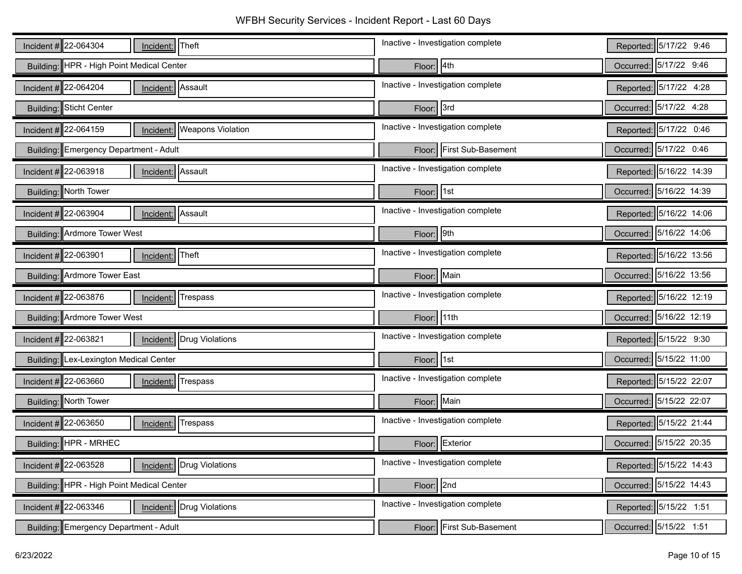WFBH Security Services - Incident Report - Last 60 Days

| Incident #22-064304<br>Incident: Theft                       | Inactive - Investigation complete | Reported: 5/17/22 9:46  |
|--------------------------------------------------------------|-----------------------------------|-------------------------|
| Building: HPR - High Point Medical Center                    | Floor: 4th                        | Occurred: 5/17/22 9:46  |
| Incident $\#$ 22-064204<br>Assault<br>Incident:              | Inactive - Investigation complete | Reported: 5/17/22 4:28  |
| Building: Sticht Center                                      | Floor: 3rd                        | Occurred: 5/17/22 4:28  |
| Incident #22-064159<br><b>Weapons Violation</b><br>Incident: | Inactive - Investigation complete | Reported: 5/17/22 0:46  |
| Building: Emergency Department - Adult                       | First Sub-Basement<br>Floor:      | Occurred: 5/17/22 0:46  |
| Incident # $22-063918$<br>Incident: Assault                  | Inactive - Investigation complete | Reported: 5/16/22 14:39 |
| Building: North Tower                                        | Floor: 1st                        | Occurred: 5/16/22 14:39 |
| Incident #22-063904<br>Assault<br>Incident:                  | Inactive - Investigation complete | Reported: 5/16/22 14:06 |
| Building: Ardmore Tower West                                 | Floor: 9th                        | Occurred: 5/16/22 14:06 |
| Incident # 22-063901<br>Theft<br>Incident:                   | Inactive - Investigation complete | Reported: 5/16/22 13:56 |
| Building: Ardmore Tower East                                 | Floor: Main                       | Occurred: 5/16/22 13:56 |
|                                                              |                                   |                         |
| Incident $\#$ 22-063876<br><b>Trespass</b><br>Incident:      | Inactive - Investigation complete | Reported: 5/16/22 12:19 |
| Building: Ardmore Tower West                                 | Floor: 11th                       | Occurred: 5/16/22 12:19 |
| Incident #22-063821<br>Drug Violations<br>Incident:          | Inactive - Investigation complete | Reported: 5/15/22 9:30  |
| Building: Lex-Lexington Medical Center                       | Floor: 1st                        | Occurred: 5/15/22 11:00 |
| Incident $\#$ 22-063660<br>Trespass<br>Incident:             | Inactive - Investigation complete | Reported: 5/15/22 22:07 |
| Building: North Tower                                        | Floor: Main                       | Occurred: 5/15/22 22:07 |
| Incident #22-063650<br>Trespass<br>Incident:                 | Inactive - Investigation complete | Reported: 5/15/22 21:44 |
| Building: HPR - MRHEC                                        | Floor: Exterior                   | Occurred: 5/15/22 20:35 |
| Incident $\#$ 22-063528<br>Incident: Drug Violations         | Inactive - Investigation complete | Reported: 5/15/22 14:43 |
| Building: HPR - High Point Medical Center                    | Floor: 2nd                        | Occurred: 5/15/22 14:43 |
| Incident $\#$ 22-063346<br>Drug Violations<br>Incident:      | Inactive - Investigation complete | Reported: 5/15/22 1:51  |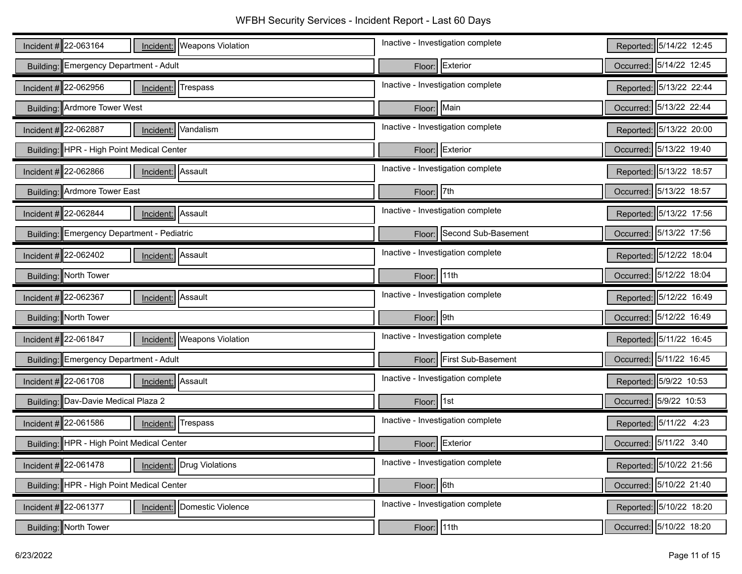| Incident # 22-063164<br>Incident:   Weapons Violation         | Inactive - Investigation complete   | Reported: 5/14/22 12:45 |
|---------------------------------------------------------------|-------------------------------------|-------------------------|
| Building: Emergency Department - Adult                        | Exterior<br>Floor:                  | Occurred: 5/14/22 12:45 |
| Incident # 22-062956<br>Trespass<br>Incident:                 | Inactive - Investigation complete   | Reported: 5/13/22 22:44 |
| <b>Building: Ardmore Tower West</b>                           | Floor: Main                         | Occurred: 5/13/22 22:44 |
| Incident: Vandalism<br>Incident # 22-062887                   | Inactive - Investigation complete   | Reported: 5/13/22 20:00 |
| Building: HPR - High Point Medical Center                     | Exterior<br>Floor:                  | Occurred: 5/13/22 19:40 |
| Incident: Assault<br>Incident $\#$ 22-062866                  | Inactive - Investigation complete   | Reported: 5/13/22 18:57 |
| Building: Ardmore Tower East                                  | Floor: 7th                          | Occurred: 5/13/22 18:57 |
| Incident # 22-062844<br>Incident: Assault                     | Inactive - Investigation complete   | Reported: 5/13/22 17:56 |
| Building: Emergency Department - Pediatric                    | Second Sub-Basement<br>Floor:       | Occurred: 5/13/22 17:56 |
| Assault<br>Incident # 22-062402<br>Incident:                  | Inactive - Investigation complete   | Reported: 5/12/22 18:04 |
| Building: North Tower                                         | $Floor$ 11th                        | Occurred: 5/12/22 18:04 |
|                                                               |                                     |                         |
| Incident # 22-062367<br>Incident: Assault                     | Inactive - Investigation complete   | Reported: 5/12/22 16:49 |
| Building: North Tower                                         | Floor: 9th                          | Occurred: 5/12/22 16:49 |
| Incident # 22-061847<br><b>Weapons Violation</b><br>Incident: | Inactive - Investigation complete   | Reported: 5/11/22 16:45 |
| Building: Emergency Department - Adult                        | <b>First Sub-Basement</b><br>Floor: | Occurred: 5/11/22 16:45 |
| Incident # 22-061708<br>Assault<br>Incident:                  | Inactive - Investigation complete   | Reported: 5/9/22 10:53  |
| Building: Dav-Davie Medical Plaza 2                           | Floor: 1st                          | Occurred: 5/9/22 10:53  |
| Incident #22-061586<br>Trespass<br>Incident:                  | Inactive - Investigation complete   | Reported: 5/11/22 4:23  |
| Building: HPR - High Point Medical Center                     | Exterior<br>Floor:                  | Occurred: 5/11/22 3:40  |
| Incident # 22-061478<br>Drug Violations<br>Incident:          | Inactive - Investigation complete   | Reported: 5/10/22 21:56 |
| Building: HPR - High Point Medical Center                     | Floor: 6th                          | Occurred: 5/10/22 21:40 |
| Incident # 22-061377<br>Domestic Violence<br>Incident:        | Inactive - Investigation complete   | Reported: 5/10/22 18:20 |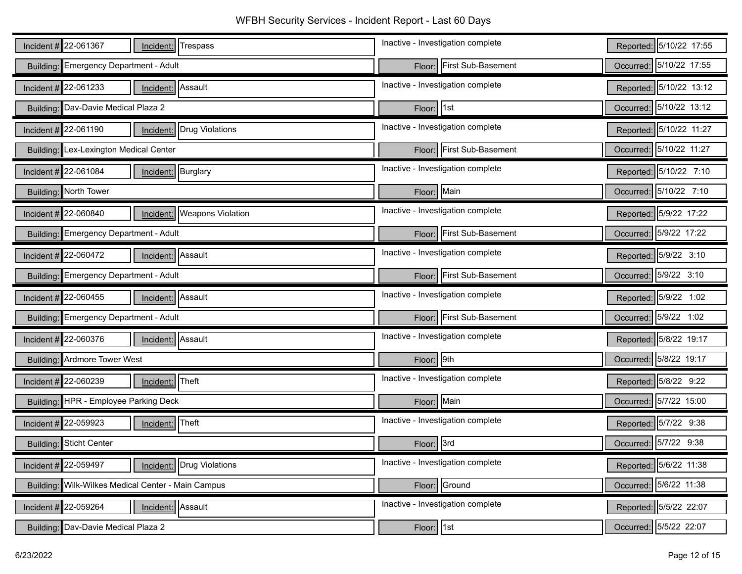| Incident # 22-061367<br>Trespass<br>Incident:                 | Inactive - Investigation complete   | Reported: 5/10/22 17:55 |
|---------------------------------------------------------------|-------------------------------------|-------------------------|
| Building: Emergency Department - Adult                        | First Sub-Basement<br>Floor:        | Occurred: 5/10/22 17:55 |
| Incident # 22-061233<br>Incident: Assault                     | Inactive - Investigation complete   | Reported: 5/10/22 13:12 |
| Building: Dav-Davie Medical Plaza 2                           | Floor: 1st                          | Occurred: 5/10/22 13:12 |
| Incident # 22-061190<br><b>Incident:</b> Drug Violations      | Inactive - Investigation complete   | Reported: 5/10/22 11:27 |
| Lex-Lexington Medical Center<br>Building:                     | First Sub-Basement<br>Floor:        | Occurred: 5/10/22 11:27 |
| Incident $\#$ 22-061084<br>Incident: Burglary                 | Inactive - Investigation complete   | Reported: 5/10/22 7:10  |
| Building: North Tower                                         | Main<br>Floor:                      | Occurred: 5/10/22 7:10  |
| <b>Weapons Violation</b><br>Incident # 22-060840<br>Incident: | Inactive - Investigation complete   | Reported: 5/9/22 17:22  |
| Building: Emergency Department - Adult                        | First Sub-Basement<br>Floor:        | Occurred: 5/9/22 17:22  |
| Incident # 22-060472<br>Assault<br>Incident:                  | Inactive - Investigation complete   | Reported: 5/9/22 3:10   |
| Building: Emergency Department - Adult                        | <b>First Sub-Basement</b><br>Floor: | Occurred: 5/9/22 3:10   |
|                                                               |                                     |                         |
| Incident # 22-060455<br>Incident: Assault                     | Inactive - Investigation complete   | Reported: 5/9/22 1:02   |
| Building: Emergency Department - Adult                        | First Sub-Basement<br>Floor:        | Occurred: 5/9/22 1:02   |
| Incident # 22-060376<br>Incident: Assault                     | Inactive - Investigation complete   | Reported: 5/8/22 19:17  |
| <b>Building: Ardmore Tower West</b>                           | 9th<br>Floor:                       | Occurred: 5/8/22 19:17  |
| Incident # 22-060239<br>Incident: Theft                       | Inactive - Investigation complete   | Reported: 5/8/22 9:22   |
| Building: HPR - Employee Parking Deck                         | Floor: Main                         | Occurred: 5/7/22 15:00  |
| Incident # 22-059923<br>Incident: Theft                       | Inactive - Investigation complete   | Reported: 5/7/22 9:38   |
| Building: Sticht Center                                       | 3rd<br>Floor:                       | Occurred: 5/7/22 9:38   |
| Incident # 22-059497<br>Drug Violations<br>Incident:          | Inactive - Investigation complete   | Reported: 5/6/22 11:38  |
| Building: Wilk-Wilkes Medical Center - Main Campus            | Floor: Ground                       | Occurred: 5/6/22 11:38  |
| Incident #22-059264<br>Assault<br>Incident:                   | Inactive - Investigation complete   | Reported: 5/5/22 22:07  |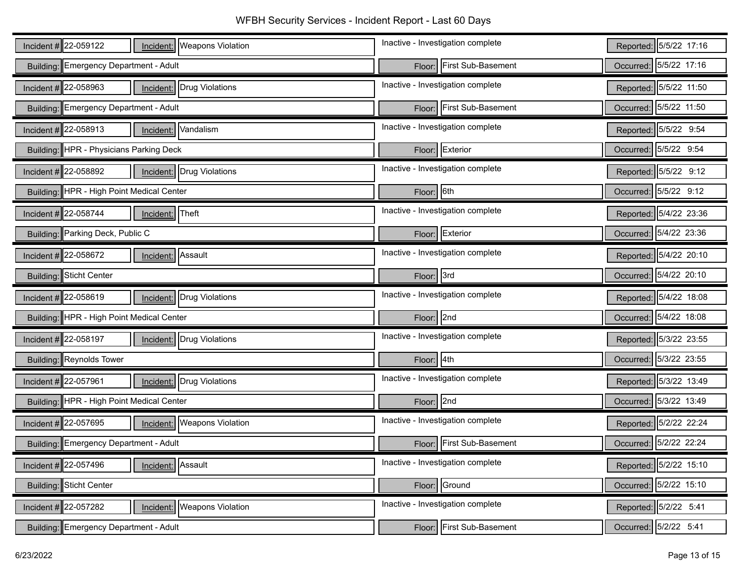| Incident # 22-059122<br>Incident:   Weapons Violation            | Inactive - Investigation complete | Reported: 5/5/22 17:16    |
|------------------------------------------------------------------|-----------------------------------|---------------------------|
| Building: Emergency Department - Adult                           | Floor: First Sub-Basement         | Occurred: 5/5/22 17:16    |
| Incident $\#$ 22-058963<br>Drug Violations<br>Incident:          | Inactive - Investigation complete | Reported: 5/5/22 11:50    |
| Building: Emergency Department - Adult                           | Floor: First Sub-Basement         | Occurred: 5/5/22 11:50    |
| Incident #22-058913<br>Incident: Vandalism                       | Inactive - Investigation complete | Reported: 5/5/22 9:54     |
| Building: HPR - Physicians Parking Deck                          | Exterior<br>Floor:                | Occurred: 5/5/22 9:54     |
| Incident # $22-058892$<br>Incident: Drug Violations              | Inactive - Investigation complete | Reported: 5/5/22 9:12     |
| Building: HPR - High Point Medical Center                        | Floor: 6th                        | Occurred: 5/5/22 9:12     |
| Incident $\#$ 22-058744<br>Theft<br>Incident:                    | Inactive - Investigation complete | Reported: 5/4/22 23:36    |
| Building: Parking Deck, Public C                                 | Floor: Exterior                   | Occurred: 5/4/22 23:36    |
| Incident #22-058672<br>Assault<br>Incident:                      | Inactive - Investigation complete | Reported: 5/4/22 20:10    |
| Building: Sticht Center                                          | Floor: 3rd                        | Occurred: 5/4/22 20:10    |
|                                                                  |                                   |                           |
| Incident #22-058619<br>Incident: Drug Violations                 | Inactive - Investigation complete | Reported: 5/4/22 18:08    |
| Building: HPR - High Point Medical Center                        | $Floor$   2nd                     | Occurred: 5/4/22 18:08    |
| Incident # $22-058197$<br>Drug Violations<br>Incident:           | Inactive - Investigation complete | Reported: 5/3/22 23:55    |
| Building: Reynolds Tower                                         | Floor: 4th                        | 5/3/22 23:55<br>Occurred: |
| Incident # 22-057961<br>Drug Violations<br>Incident:             | Inactive - Investigation complete | Reported: 5/3/22 13:49    |
| Building: HPR - High Point Medical Center                        | Floor: 2nd                        | Occurred: 5/3/22 13:49    |
| Incident #22-057695<br><b>Weapons Violation</b><br>Incident:     | Inactive - Investigation complete | Reported: 5/2/22 22:24    |
| Building: Emergency Department - Adult                           | Floor: First Sub-Basement         | Occurred: 5/2/22 22:24    |
| Incident # $22-057496$<br>Assault<br>Incident:                   | Inactive - Investigation complete | Reported: 5/2/22 15:10    |
| Building: Sticht Center                                          | Floor: Ground                     | Occurred: 5/2/22 15:10    |
| Incident $\#$ 22-057282<br><b>Weapons Violation</b><br>Incident: | Inactive - Investigation complete | Reported: 5/2/22 5:41     |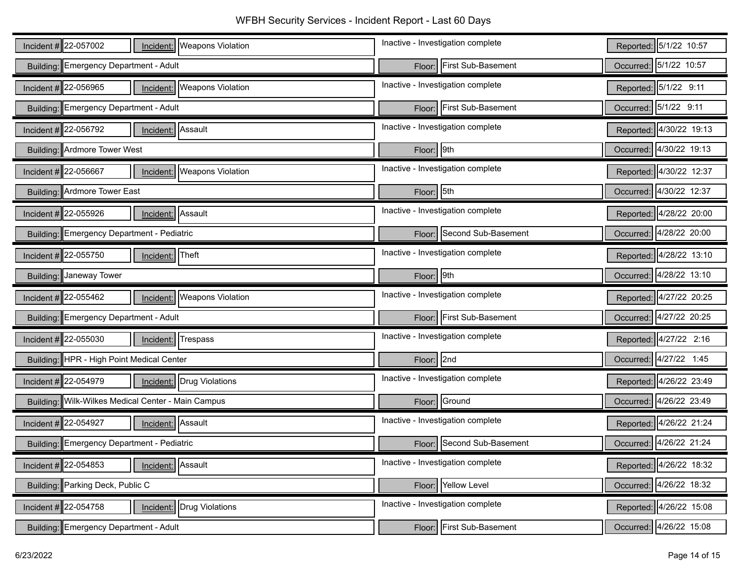| Incident # 22-057002<br>Incident:   Weapons Violation            | Inactive - Investigation complete | Reported: 5/1/22 10:57  |
|------------------------------------------------------------------|-----------------------------------|-------------------------|
| Building: Emergency Department - Adult                           | Floor: First Sub-Basement         | Occurred: 5/1/22 10:57  |
| Incident $\#$ 22-056965<br><b>Weapons Violation</b><br>Incident: | Inactive - Investigation complete | Reported: 5/1/22 9:11   |
| Building: Emergency Department - Adult                           | Floor: First Sub-Basement         | Occurred: 5/1/22 9:11   |
| Incident #22-056792<br>Incident: Assault                         | Inactive - Investigation complete | Reported: 4/30/22 19:13 |
| Building: Ardmore Tower West                                     | Floor: 9th                        | Occurred: 4/30/22 19:13 |
| Incident # $22-056667$<br><b>Weapons Violation</b><br>Incident:  | Inactive - Investigation complete | Reported: 4/30/22 12:37 |
| Building: Ardmore Tower East                                     | Floor: 5th                        | Occurred: 4/30/22 12:37 |
| Incident $\#$ 22-055926<br>Incident: Assault                     | Inactive - Investigation complete | Reported: 4/28/22 20:00 |
| Building: Emergency Department - Pediatric                       | Floor: Second Sub-Basement        | Occurred: 4/28/22 20:00 |
| Incident #22-055750<br>Theft<br>Incident:                        | Inactive - Investigation complete | Reported: 4/28/22 13:10 |
| Building: Janeway Tower                                          | Floor: 9th                        | Occurred: 4/28/22 13:10 |
|                                                                  |                                   |                         |
| Incident $\#$ 22-055462<br><b>Weapons Violation</b><br>Incident: | Inactive - Investigation complete | Reported: 4/27/22 20:25 |
| Building: Emergency Department - Adult                           | Floor: First Sub-Basement         | Occurred: 4/27/22 20:25 |
| Incident #22-055030<br>Trespass<br>Incident:                     | Inactive - Investigation complete | Reported: 4/27/22 2:16  |
| Building: HPR - High Point Medical Center                        | Floor: 2nd                        | Occurred: 4/27/22 1:45  |
| Incident # $22-054979$<br>Drug Violations<br>Incident:           | Inactive - Investigation complete | Reported: 4/26/22 23:49 |
| Building: Wilk-Wilkes Medical Center - Main Campus               | Floor: Ground                     | Occurred: 4/26/22 23:49 |
| Incident #22-054927<br>Incident: Assault                         | Inactive - Investigation complete | Reported: 4/26/22 21:24 |
| Building: Emergency Department - Pediatric                       | Floor: Second Sub-Basement        | Occurred: 4/26/22 21:24 |
| Incident # $22-054853$<br>Assault<br>Incident:                   | Inactive - Investigation complete | Reported: 4/26/22 18:32 |
| Building: Parking Deck, Public C                                 | Floor: Yellow Level               | Occurred: 4/26/22 18:32 |
| Incident $\#$ 22-054758<br>Drug Violations<br>Incident:          | Inactive - Investigation complete | Reported: 4/26/22 15:08 |